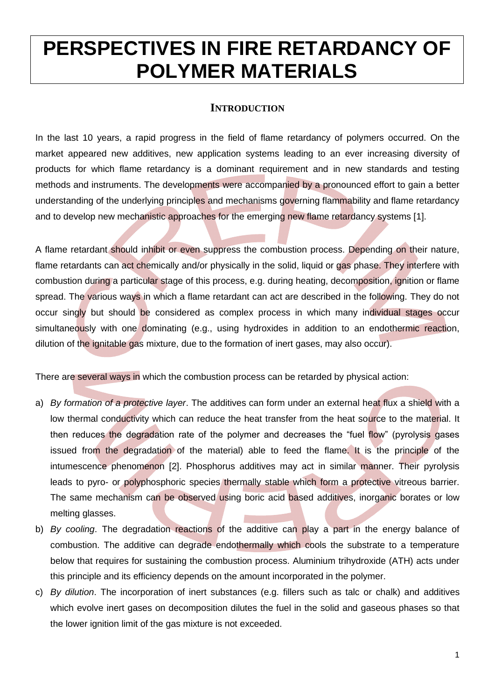# **PERSPECTIVES IN FIRE RETARDANCY OF POLYMER MATERIALS**

## **INTRODUCTION**

In the last 10 years, a rapid progress in the field of flame retardancy of polymers occurred. On the market appeared new additives, new application systems leading to an ever increasing diversity of products for which flame retardancy is a dominant requirement and in new standards and testing methods and instruments. The developments were accompanied by a pronounced effort to gain a better understanding of the underlying principles and mechanisms governing flammability and flame retardancy and to develop new mechanistic approaches for the emerging new flame retardancy systems [\[1\]](#page-8-0).

A flame retardant should inhibit or even suppress the combustion process. Depending on their nature, flame retardants can act chemically and/or physically in the solid, liquid or gas phase. They interfere with combustion during a particular stage of this process, e.g. during heating, decomposition, ignition or flame spread. The various ways in which a flame retardant can act are described in the following. They do not occur singly but should be considered as complex process in which many individual stages occur simultaneously with one dominating (e.g., using hydroxides in addition to an endothermic reaction, dilution of the ignitable gas mixture, due to the formation of inert gases, may also occur).

There are several ways in which the combustion process can be retarded by physical action:

- a) *By formation of a protective layer*. The additives can form under an external heat flux a shield with a low thermal conductivity which can reduce the heat transfer from the heat source to the material. It then reduces the degradation rate of the polymer and decreases the "fuel flow" (pyrolysis gases issued from the degradation of the material) able to feed the flame. It is the principle of the intumescence phenomenon [\[2\]](#page-8-1). Phosphorus additives may act in similar manner. Their pyrolysis leads to pyro- or polyphosphoric species thermally stable which form a protective vitreous barrier. The same mechanism can be observed using boric acid based additives, inorganic borates or low melting glasses.
- b) *By cooling*. The degradation reactions of the additive can play a part in the energy balance of combustion. The additive can degrade endothermally which cools the substrate to a temperature below that requires for sustaining the combustion process. Aluminium trihydroxide (ATH) acts under this principle and its efficiency depends on the amount incorporated in the polymer.
- c) *By dilution*. The incorporation of inert substances (e.g. fillers such as talc or chalk) and additives which evolve inert gases on decomposition dilutes the fuel in the solid and gaseous phases so that the lower ignition limit of the gas mixture is not exceeded.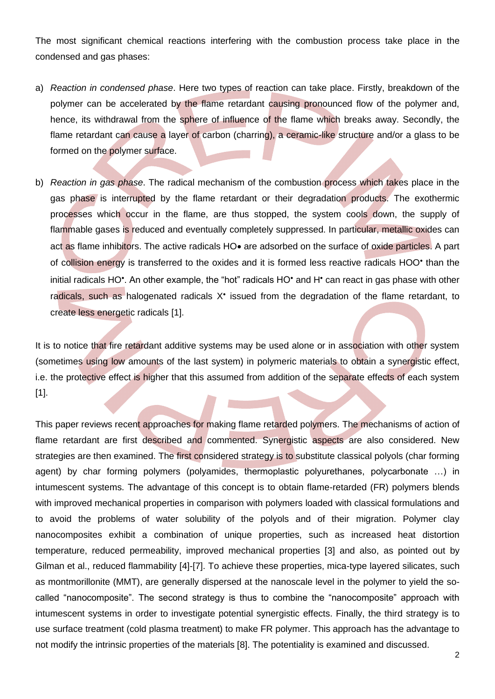The most significant chemical reactions interfering with the combustion process take place in the condensed and gas phases:

- a) *Reaction in condensed phase*. Here two types of reaction can take place. Firstly, breakdown of the polymer can be accelerated by the flame retardant causing pronounced flow of the polymer and, hence, its withdrawal from the sphere of influence of the flame which breaks away. Secondly, the flame retardant can cause a layer of carbon (charring), a ceramic-like structure and/or a glass to be formed on the polymer surface.
- b) *Reaction in gas phase*. The radical mechanism of the combustion process which takes place in the gas phase is interrupted by the flame retardant or their degradation products. The exothermic processes which occur in the flame, are thus stopped, the system cools down, the supply of flammable gases is reduced and eventually completely suppressed. In particular, metallic oxides can act as flame inhibitors. The active radicals HO• are adsorbed on the surface of oxide particles. A part of collision energy is transferred to the oxides and it is formed less reactive radicals HOO<sup>•</sup> than the initial radicals HO<sup>•</sup>. An other example, the "hot" radicals HO• and H• can react in gas phase with other radicals, such as halogenated radicals X<sup>\*</sup> issued from the degradation of the flame retardant, to create less energetic radicals [\[1\]](#page-8-0).

It is to notice that fire retardant additive systems may be used alone or in association with other system (sometimes using low amounts of the last system) in polymeric materials to obtain a synergistic effect, i.e. the protective effect is higher that this assumed from addition of the separate effects of each system [\[1\]](#page-8-0).

This paper reviews recent approaches for making flame retarded polymers. The mechanisms of action of flame retardant are first described and commented. Synergistic aspects are also considered. New strategies are then examined. The first considered strategy is to substitute classical polyols (char forming agent) by char forming polymers (polyamides, thermoplastic polyurethanes, polycarbonate …) in intumescent systems. The advantage of this concept is to obtain flame-retarded (FR) polymers blends with improved mechanical properties in comparison with polymers loaded with classical formulations and to avoid the problems of water solubility of the polyols and of their migration. Polymer clay nanocomposites exhibit a combination of unique properties, such as increased heat distortion temperature, reduced permeability, improved mechanical properties [\[3\]](#page-8-2) and also, as pointed out by Gilman et al., reduced flammability [\[4\]](#page-8-3)-[\[7\]](#page-8-4). To achieve these properties, mica-type layered silicates, such as montmorillonite (MMT), are generally dispersed at the nanoscale level in the polymer to yield the socalled "nanocomposite". The second strategy is thus to combine the "nanocomposite" approach with intumescent systems in order to investigate potential synergistic effects. Finally, the third strategy is to use surface treatment (cold plasma treatment) to make FR polymer. This approach has the advantage to not modify the intrinsic properties of the materials [\[8\]](#page-8-5). The potentiality is examined and discussed.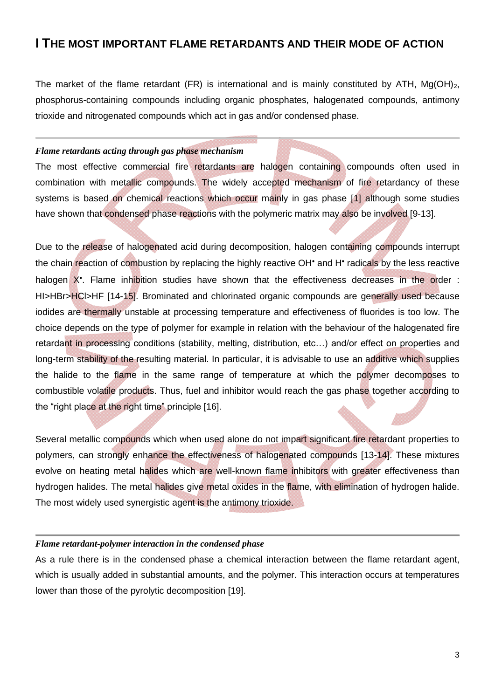## **I THE MOST IMPORTANT FLAME RETARDANTS AND THEIR MODE OF ACTION**

The market of the flame retardant (FR) is international and is mainly constituted by ATH,  $Mg(OH)<sub>2</sub>$ , phosphorus-containing compounds including organic phosphates, halogenated compounds, antimony trioxide and nitrogenated compounds which act in gas and/or condensed phase.

#### *Flame retardants acting through gas phase mechanism*

The most effective commercial fire retardants are halogen containing compounds often used in combination with metallic compounds. The widely accepted mechanism of fire retardancy of these systems is based on chemical reactions which occur mainly in gas phase [\[1\]](#page-8-0) although some studies have shown that condensed phase reactions with the polymeric matrix may also be involved [\[9-](#page-8-6)[13\]](#page-8-7).

Due to the release of halogenated acid during decomposition, halogen containing compounds interrupt the chain reaction of combustion by replacing the highly reactive OH<sup>•</sup> and H<sup>•</sup> radicals by the less reactive halogen X<sup>\*</sup>. Flame inhibition studies have shown that the effectiveness decreases in the order : HI>HBr>HCI>HF [\[14-](#page-8-8)[15\]](#page-8-9). Brominated and chlorinated organic compounds are generally used because iodides are thermally unstable at processing temperature and effectiveness of fluorides is too low. The choice depends on the type of polymer for example in relation with the behaviour of the halogenated fire retardant in processing conditions (stability, melting, distribution, etc…) and/or effect on properties and long-term stability of the resulting material. In particular, it is advisable to use an additive which supplies the halide to the flame in the same range of temperature at which the polymer decomposes to combustible volatile products. Thus, fuel and inhibitor would reach the gas phase together according to the "right place at the right time" principle [\[16\]](#page-8-10).

Several metallic compounds which when used alone do not impart significant fire retardant properties to polymers, can strongly enhance the effectiveness of halogenated compounds [\[13](#page-8-7)[-14\]](#page-8-8). These mixtures evolve on heating metal halides which are well-known flame inhibitors with greater effectiveness than hydrogen halides. The metal halides give metal oxides in the flame, with elimination of hydrogen halide. The most widely used synergistic agent is the antimony trioxide.

#### *Flame retardant-polymer interaction in the condensed phase*

As a rule there is in the condensed phase a chemical interaction between the flame retardant agent, which is usually added in substantial amounts, and the polymer. This interaction occurs at temperatures lower than those of the pyrolytic decomposition [\[19\]](#page-8-11).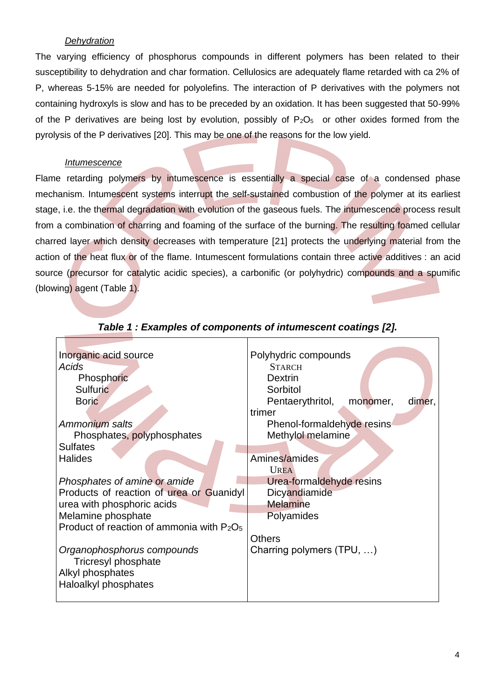### *Dehydration*

The varying efficiency of phosphorus compounds in different polymers has been related to their susceptibility to dehydration and char formation. Cellulosics are adequately flame retarded with ca 2% of P, whereas 5-15% are needed for polyolefins. The interaction of P derivatives with the polymers not containing hydroxyls is slow and has to be preceded by an oxidation. It has been suggested that 50-99% of the P derivatives are being lost by evolution, possibly of  $P_2O_5$  or other oxides formed from the pyrolysis of the P derivatives [\[20\]](#page-8-12). This may be one of the reasons for the low yield.

#### *Intumescence*

Flame retarding polymers by intumescence is essentially a special case of a condensed phase mechanism. Intumescent systems interrupt the self-sustained combustion of the polymer at its earliest stage, i.e. the thermal degradation with evolution of the gaseous fuels. The intumescence process result from a combination of charring and foaming of the surface of the burning. The resulting foamed cellular charred layer which density decreases with temperature [\[21\]](#page-8-13) protects the underlying material from the action of the heat flux or of the flame. Intumescent formulations contain three active additives : an acid source (precursor for catalytic acidic species), a carbonific (or polyhydric) compounds and a spumific (blowing) agent [\(Table 1\)](#page-3-0).

<span id="page-3-0"></span>

| Inorganic acid source                                             | Polyhydric compounds                   |
|-------------------------------------------------------------------|----------------------------------------|
| Acids                                                             | <b>STARCH</b>                          |
| Phosphoric                                                        | <b>Dextrin</b>                         |
| Sulfuric                                                          | Sorbitol                               |
| <b>Boric</b>                                                      | Pentaerythritol,<br>dimer,<br>monomer, |
|                                                                   | trimer                                 |
| Ammonium salts                                                    | Phenol-formaldehyde resins             |
| Phosphates, polyphosphates                                        | Methylol melamine                      |
| <b>Sulfates</b>                                                   |                                        |
| <b>Halides</b>                                                    | Amines/amides                          |
|                                                                   | <b>UREA</b>                            |
| Phosphates of amine or amide                                      | Urea-formaldehyde resins               |
| Products of reaction of urea or Guanidyl                          | Dicyandiamide                          |
| urea with phosphoric acids                                        | <b>Melamine</b>                        |
| Melamine phosphate                                                | Polyamides                             |
| Product of reaction of ammonia with P <sub>2</sub> O <sub>5</sub> |                                        |
|                                                                   | Others                                 |
| Organophosphorus compounds                                        | Charring polymers (TPU, )              |
| Tricresyl phosphate                                               |                                        |
| Alkyl phosphates                                                  |                                        |
| Haloalkyl phosphates                                              |                                        |
|                                                                   |                                        |

#### *Table 1 : Examples of components of intumescent coatings [\[2\]](#page-8-1).*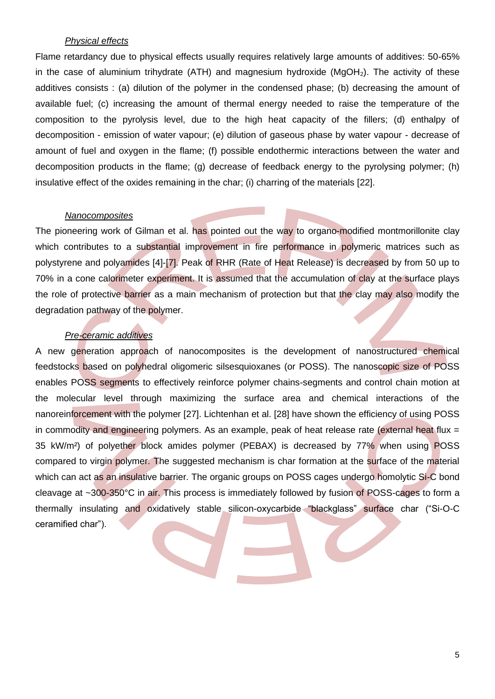#### *Physical effects*

Flame retardancy due to physical effects usually requires relatively large amounts of additives: 50-65% in the case of aluminium trihydrate (ATH) and magnesium hydroxide ( $MgOH<sub>2</sub>$ ). The activity of these additives consists : (a) dilution of the polymer in the condensed phase; (b) decreasing the amount of available fuel; (c) increasing the amount of thermal energy needed to raise the temperature of the composition to the pyrolysis level, due to the high heat capacity of the fillers; (d) enthalpy of decomposition - emission of water vapour; (e) dilution of gaseous phase by water vapour - decrease of amount of fuel and oxygen in the flame; (f) possible endothermic interactions between the water and decomposition products in the flame; (g) decrease of feedback energy to the pyrolysing polymer; (h) insulative effect of the oxides remaining in the char; (i) charring of the materials [\[22\]](#page-8-14).

#### *Nanocomposites*

The pioneering work of Gilman et al. has pointed out the way to organo-modified montmorillonite clay which contributes to a substantial improvement in fire performance in polymeric matrices such as polystyrene and polyamides [\[4\]](#page-8-3)-[\[7\]](#page-8-4). Peak of RHR (Rate of Heat Release) is decreased by from 50 up to 70% in a cone calorimeter experiment. It is assumed that the accumulation of clay at the surface plays the role of protective barrier as a main mechanism of protection but that the clay may also modify the degradation pathway of the polymer.

#### *Pre-ceramic additives*

A new generation approach of nanocomposites is the development of nanostructured chemical feedstocks based on polyhedral oligomeric silsesquioxanes (or POSS). The nanoscopic size of POSS enables POSS segments to effectively reinforce polymer chains-segments and control chain motion at the molecular level through maximizing the surface area and chemical interactions of the nanoreinforcement with the polymer [\[27\]](#page-8-15). Lichtenhan et al. [\[28\]](#page-8-16) have shown the efficiency of using POSS in commodity and engineering polymers. As an example, peak of heat release rate (external heat flux  $=$ 35 kW/m²) of polyether block amides polymer (PEBAX) is decreased by 77% when using POSS compared to virgin polymer. The suggested mechanism is char formation at the surface of the material which can act as an insulative barrier. The organic groups on POSS cages undergo homolytic Si-C bond cleavage at ~300-350°C in air. This process is immediately followed by fusion of POSS-cages to form a thermally insulating and oxidatively stable silicon-oxycarbide "blackglass" surface char ("Si-O-C ceramified char").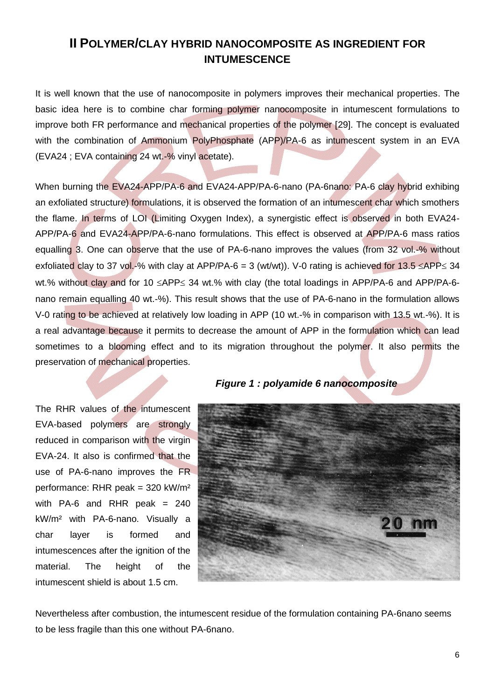## **II POLYMER/CLAY HYBRID NANOCOMPOSITE AS INGREDIENT FOR INTUMESCENCE**

It is well known that the use of nanocomposite in polymers improves their mechanical properties. The basic idea here is to combine char forming polymer nanocomposite in intumescent formulations to improve both FR performance and mechanical properties of the polymer [\[29\]](#page-8-17). The concept is evaluated with the combination of Ammonium PolyPhosphate (APP)/PA-6 as intumescent system in an EVA (EVA24 ; EVA containing 24 wt.-% vinyl acetate).

When burning the EVA24-APP/PA-6 and EVA24-APP/PA-6-nano (PA-6nano: PA-6 clay hybrid exhibing an exfoliated structure) formulations, it is observed the formation of an intumescent char which smothers the flame. In terms of LOI (Limiting Oxygen Index), a synergistic effect is observed in both EVA24- APP/PA-6 and EVA24-APP/PA-6-nano formulations. This effect is observed at APP/PA-6 mass ratios equalling 3. One can observe that the use of PA-6-nano improves the values (from 32 vol.-% without exfoliated clay to 37 vol.-% with clay at APP/PA-6 = 3 (wt/wt)). V-0 rating is achieved for 13.5  $\leq$ APP $\leq$  34 wt.% without clay and for 10  $\leq$ APP $\leq$  34 wt.% with clay (the total loadings in APP/PA-6 and APP/PA-6nano remain equalling 40 wt.-%). This result shows that the use of PA-6-nano in the formulation allows V-0 rating to be achieved at relatively low loading in APP (10 wt.-% in comparison with 13.5 wt.-%). It is a real advantage because it permits to decrease the amount of APP in the formulation which can lead sometimes to a blooming effect and to its migration throughout the polymer. It also permits the preservation of mechanical properties.

The RHR values of the intumescent EVA-based polymers are strongly reduced in comparison with the virgin EVA-24. It also is confirmed that the use of PA-6-nano improves the FR performance: RHR peak = 320 kW/m² with PA-6 and RHR peak  $= 240$ kW/m² with PA-6-nano. Visually a char layer is formed and intumescences after the ignition of the material. The height of the intumescent shield is about 1.5 cm.

## *Figure 1 : polyamide 6 nanocomposite*



Nevertheless after combustion, the intumescent residue of the formulation containing PA-6nano seems to be less fragile than this one without PA-6nano.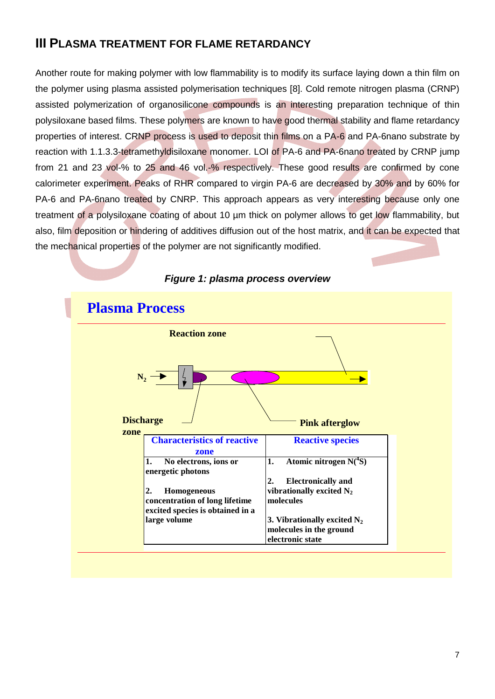# **III PLASMA TREATMENT FOR FLAME RETARDANCY**

Another route for making polymer with low flammability is to modify its surface laying down a thin film on the polymer using plasma assisted polymerisation techniques [8]. Cold remote nitrogen plasma (CRNP) assisted polymerization of organosilicone compounds is an interesting preparation technique of thin polysiloxane based films. These polymers are known to have good thermal stability and flame retardancy properties of interest. CRNP process is used to deposit thin films on a PA-6 and PA-6nano substrate by reaction with 1.1.3.3-tetramethyldisiloxane monomer. LOI of PA-6 and PA-6nano treated by CRNP jump from 21 and 23 vol-% to 25 and 46 vol.-% respectively. These good results are confirmed by cone calorimeter experiment. Peaks of RHR compared to virgin PA-6 are decreased by 30% and by 60% for PA-6 and PA-6nano treated by CNRP. This approach appears as very interesting because only one treatment of a polysiloxane coating of about 10 µm thick on polymer allows to get low flammability, but also, film deposition or hindering of additives diffusion out of the host matrix, and it can be expected that the mechanical properties of the polymer are not significantly modified.



#### *Figure 1: plasma process overview*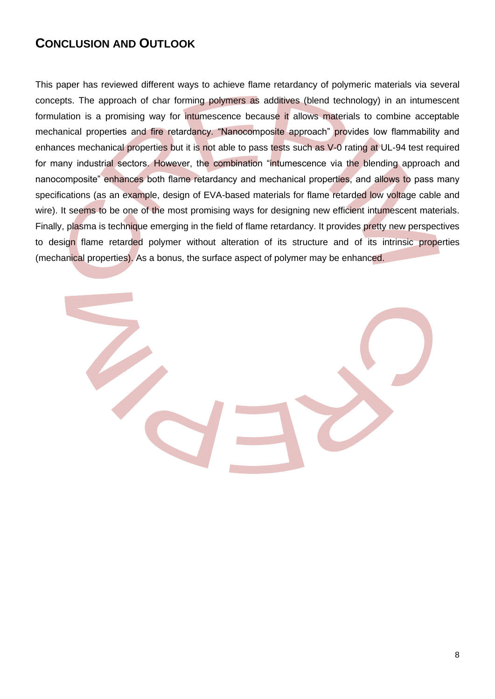# **CONCLUSION AND OUTLOOK**

This paper has reviewed different ways to achieve flame retardancy of polymeric materials via several concepts. The approach of char forming polymers as additives (blend technology) in an intumescent formulation is a promising way for intumescence because it allows materials to combine acceptable mechanical properties and fire retardancy. "Nanocomposite approach" provides low flammability and enhances mechanical properties but it is not able to pass tests such as V-0 rating at UL-94 test required for many industrial sectors. However, the combination "intumescence via the blending approach and nanocomposite" enhances both flame retardancy and mechanical properties, and allows to pass many specifications (as an example, design of EVA-based materials for flame retarded low voltage cable and wire). It seems to be one of the most promising ways for designing new efficient intumescent materials. Finally, plasma is technique emerging in the field of flame retardancy. It provides pretty new perspectives to design flame retarded polymer without alteration of its structure and of its intrinsic properties (mechanical properties). As a bonus, the surface aspect of polymer may be enhanced.